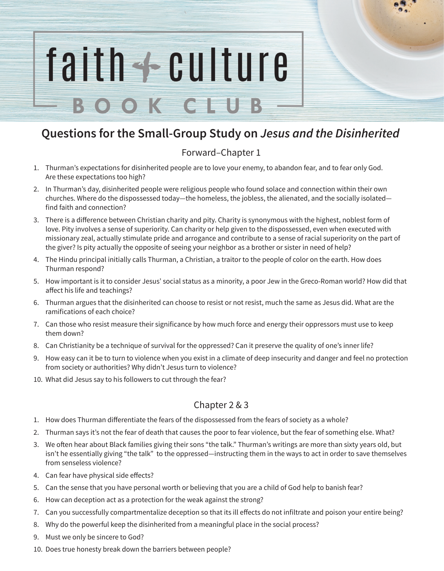# faith + culture OOK CLUB

### **Questions for the Small-Group Study on** *Jesus and the Disinherited*

### Forward–Chapter 1

- 1. Thurman's expectations for disinherited people are to love your enemy, to abandon fear, and to fear only God. Are these expectations too high?
- 2. In Thurman's day, disinherited people were religious people who found solace and connection within their own churches. Where do the dispossessed today—the homeless, the jobless, the alienated, and the socially isolated find faith and connection?
- 3. There is a difference between Christian charity and pity. Charity is synonymous with the highest, noblest form of love. Pity involves a sense of superiority. Can charity or help given to the dispossessed, even when executed with missionary zeal, actually stimulate pride and arrogance and contribute to a sense of racial superiority on the part of the giver? Is pity actually the opposite of seeing your neighbor as a brother or sister in need of help?
- 4. The Hindu principal initially calls Thurman, a Christian, a traitor to the people of color on the earth. How does Thurman respond?
- 5. How important is it to consider Jesus' social status as a minority, a poor Jew in the Greco-Roman world? How did that affect his life and teachings?
- 6. Thurman argues that the disinherited can choose to resist or not resist, much the same as Jesus did. What are the ramifications of each choice?
- 7. Can those who resist measure their significance by how much force and energy their oppressors must use to keep them down?
- 8. Can Christianity be a technique of survival for the oppressed? Can it preserve the quality of one's inner life?
- 9. How easy can it be to turn to violence when you exist in a climate of deep insecurity and danger and feel no protection from society or authorities? Why didn't Jesus turn to violence?
- 10. What did Jesus say to his followers to cut through the fear?

### Chapter 2 & 3

- 1. How does Thurman differentiate the fears of the dispossessed from the fears of society as a whole?
- 2. Thurman says it's not the fear of death that causes the poor to fear violence, but the fear of something else. What?
- 3. We often hear about Black families giving their sons "the talk." Thurman's writings are more than sixty years old, but isn't he essentially giving "the talk" to the oppressed—instructing them in the ways to act in order to save themselves from senseless violence?
- 4. Can fear have physical side effects?
- 5. Can the sense that you have personal worth or believing that you are a child of God help to banish fear?
- 6. How can deception act as a protection for the weak against the strong?
- 7. Can you successfully compartmentalize deception so that its ill effects do not infiltrate and poison your entire being?
- 8. Why do the powerful keep the disinherited from a meaningful place in the social process?
- 9. Must we only be sincere to God?
- 10. Does true honesty break down the barriers between people?